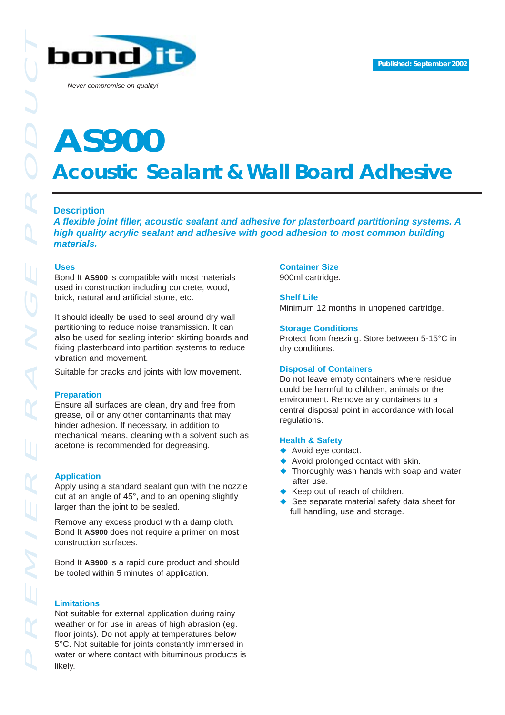

*Never compromise on quality!*

# **Acoustic Sealant & Wall Board Adhesive AS900**

# **Description**

*A flexible joint filler, acoustic sealant and adhesive for plasterboard partitioning systems. A high quality acrylic sealant and adhesive with good adhesion to most common building materials.* 

## **Uses**

Bond It **AS900** is compatible with most materials used in construction including concrete, wood, brick, natural and artificial stone, etc.

It should ideally be used to seal around dry wall partitioning to reduce noise transmission. It can also be used for sealing interior skirting boards and fixing plasterboard into partition systems to reduce vibration and movement.

Suitable for cracks and joints with low movement.

#### **Preparation**

Ensure all surfaces are clean, dry and free from grease, oil or any other contaminants that may hinder adhesion. If necessary, in addition to mechanical means, cleaning with a solvent such as acetone is recommended for degreasing.

## **Application**

Apply using a standard sealant gun with the nozzle cut at an angle of 45°, and to an opening slightly larger than the joint to be sealed.

Remove any excess product with a damp cloth. Bond It **AS900** does not require a primer on most construction surfaces.

Bond It **AS900** is a rapid cure product and should be tooled within 5 minutes of application.

## **Limitations**

Not suitable for external application during rainy weather or for use in areas of high abrasion (eg. floor joints). Do not apply at temperatures below 5°C. Not suitable for joints constantly immersed in water or where contact with bituminous products is likely.

# **Container Size**

900ml cartridge.

#### **Shelf Life**

Minimum 12 months in unopened cartridge.

#### **Storage Conditions**

Protect from freezing. Store between 5-15°C in dry conditions.

## **Disposal of Containers**

Do not leave empty containers where residue could be harmful to children, animals or the environment. Remove any containers to a central disposal point in accordance with local regulations.

#### **Health & Safety**

- ◆ Avoid eye contact.
- Avoid prolonged contact with skin.
- Thoroughly wash hands with soap and water after use.
- Keep out of reach of children.
- See separate material safety data sheet for full handling, use and storage.